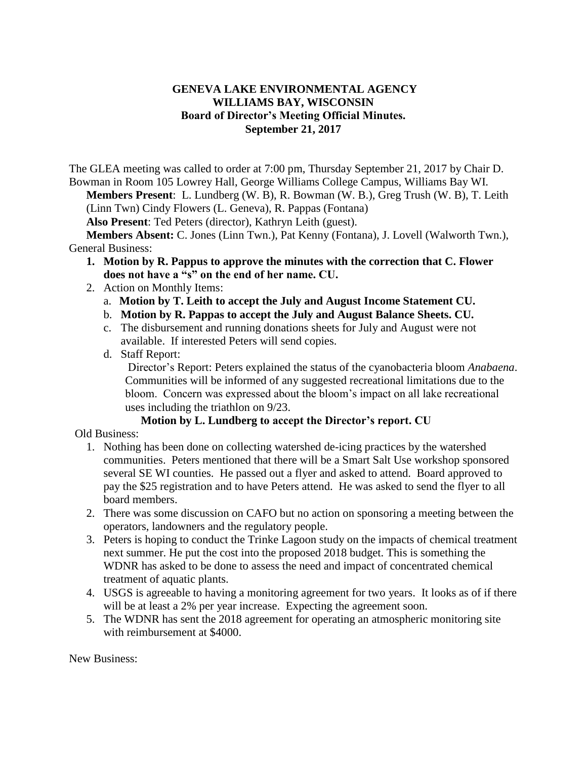## **GENEVA LAKE ENVIRONMENTAL AGENCY WILLIAMS BAY, WISCONSIN Board of Director's Meeting Official Minutes. September 21, 2017**

The GLEA meeting was called to order at 7:00 pm, Thursday September 21, 2017 by Chair D. Bowman in Room 105 Lowrey Hall, George Williams College Campus, Williams Bay WI.

**Members Present**: L. Lundberg (W. B), R. Bowman (W. B.), Greg Trush (W. B), T. Leith (Linn Twn) Cindy Flowers (L. Geneva), R. Pappas (Fontana)

**Also Present**: Ted Peters (director), Kathryn Leith (guest).

**Members Absent:** C. Jones (Linn Twn.), Pat Kenny (Fontana), J. Lovell (Walworth Twn.), General Business:

- **1. Motion by R. Pappus to approve the minutes with the correction that C. Flower does not have a "s" on the end of her name. CU.**
- 2. Action on Monthly Items:
	- a. **Motion by T. Leith to accept the July and August Income Statement CU.**
	- b. **Motion by R. Pappas to accept the July and August Balance Sheets. CU.**
	- c. The disbursement and running donations sheets for July and August were not available. If interested Peters will send copies.
	- d. Staff Report:

Director's Report: Peters explained the status of the cyanobacteria bloom *Anabaena*. Communities will be informed of any suggested recreational limitations due to the bloom. Concern was expressed about the bloom's impact on all lake recreational uses including the triathlon on 9/23.

## **Motion by L. Lundberg to accept the Director's report. CU**

Old Business:

- 1. Nothing has been done on collecting watershed de-icing practices by the watershed communities. Peters mentioned that there will be a Smart Salt Use workshop sponsored several SE WI counties. He passed out a flyer and asked to attend. Board approved to pay the \$25 registration and to have Peters attend. He was asked to send the flyer to all board members.
- 2. There was some discussion on CAFO but no action on sponsoring a meeting between the operators, landowners and the regulatory people.
- 3. Peters is hoping to conduct the Trinke Lagoon study on the impacts of chemical treatment next summer. He put the cost into the proposed 2018 budget. This is something the WDNR has asked to be done to assess the need and impact of concentrated chemical treatment of aquatic plants.
- 4. USGS is agreeable to having a monitoring agreement for two years. It looks as of if there will be at least a 2% per year increase. Expecting the agreement soon.
- 5. The WDNR has sent the 2018 agreement for operating an atmospheric monitoring site with reimbursement at \$4000.

New Business: